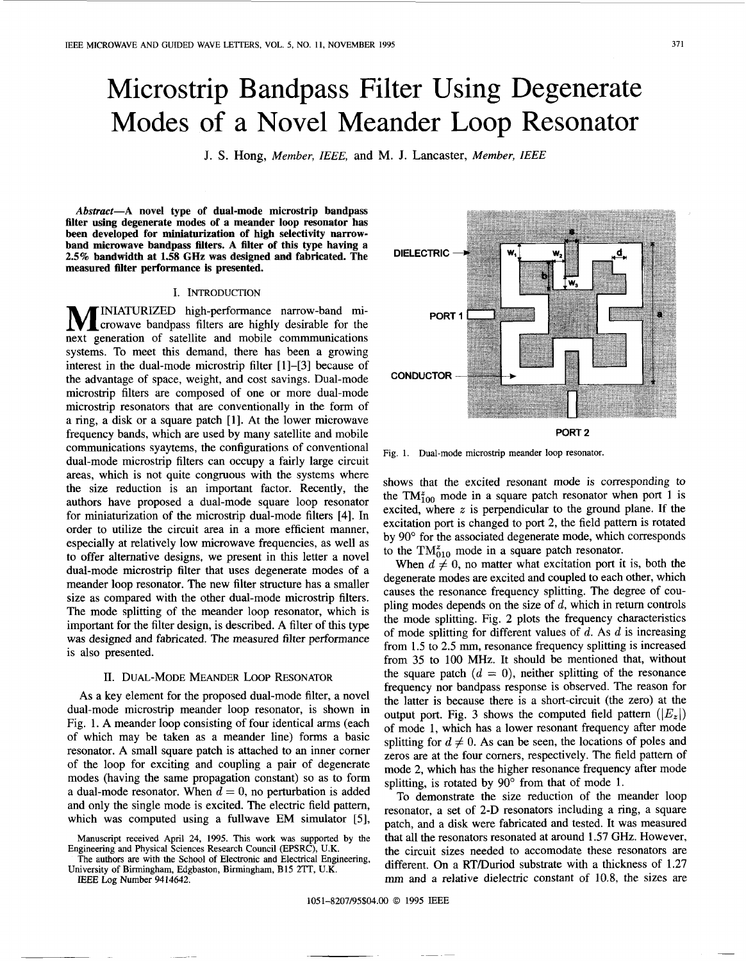# Microstrip Bandpass Filter Using Degenerate Modes of a Novel Meander Loop Resonator

J. **S. Hong,** *Member, IEEE,* **and M. J.** Lancaster, *Member, IEEE* 

*Abstract-A* **novel type of dual-mode microstrip bandpass filter using degenerate modes of a meander loop resonator has been developed for miniaturization of high selectivity narrowband microwave bandpass filters. A filter of this type having a 2.5% bandwidth at 1.58 GHz was designed and fabricated. The measured filter performance is presented.** 

## I. INTRODUCTION

**M** INIATURIZED high-performance narrow-band mi-<br>crowave bandpass filters are highly desirable for the next generation of satellite and mobile commmunications systems. To meet this demand, there has been a growing interest in the dual-mode microstrip filter [ **11-[3]** because of the advantage of space, weight, and cost savings. Dual-mode microstrip filters are composed of one or more dual-mode microstrip resonators that are conventionally in the form of a ring, a disk or a square patch **[l].** At the lower microwave frequency bands, which are used by many satellite and mobile communications syaytems, the configurations of conventional dual-mode microstrip filters can occupy a fairly large circuit areas, which is not quite congruous with the systems where the size reduction is an important factor. Recently, the authors have proposed a dual-mode square loop resonator for miniaturization of the microstrip dual-mode filters **[4].** In order to utilize the circuit area in a more efficient manner, especially at relatively low microwave frequencies, as well as to offer alternative designs, we present in this letter a novel dual-mode microstrip filter that uses degenerate modes of a meander loop resonator. The new filter structure has a smaller size as compared with the other dual-mode microstrip filters. The mode splitting of the meander loop resonator, which is important for the filter design, is described. A filter of this type was designed and fabricated. The measured filter performance is also presented.

#### **11.** DUAL-MODE MEANDER LOOP RESONATOR

**As** a key element for the proposed dual-mode filter, a novel dual-mode microstrip meander loop resonator, is shown in Fig. 1. A meander loop consisting of four identical arms (each of which may be taken as a meander line) forms a basic resonator. A small square patch is attached to an inner corner of the loop for exciting and coupling a pair of degenerate modes (having the same propagation constant) **so** as to form a dual-mode resonator. When  $d = 0$ , no perturbation is added and only the single mode is excited. The electric field pattern, which was computed using a fullwave EM simulator *[5],* 

The authors are with the School of Electronic and Electrical Engineering, University of Birmingham, Edgbaston, Birmingham, B15 **2TT,** U.K.

*IEEE* Log **Number 9414642.** 

**DIELECTRIC PORT 1 CONDUCTOR PORT 2** 

Fig. 1. Dual-mode microstrip meander loop resonator.

shows that the excited resonant mode **is** corresponding to the  $TM_{100}^z$  mode in a square patch resonator when port 1 is excited, where *x* is perpendicular to the ground plane. **If** the excitation port is changed to port **2,** the field pattern is rotated by *90"* for the associated degenerate mode, which corresponds to the  $TM_{010}^z$  mode in a square patch resonator.

When  $d \neq 0$ , no matter what excitation port it is, both the degenerate modes are excited and coupled to each other, which causes the resonance frequency splitting. The degree of coupling modes depends on the size of *d,* which in return controls the mode splitting. [Fig.](#page-1-0) **2** plots the frequency characteristics of mode splitting for different values of *d.* **As** d is increasing from **1.5** to 2.5 mm, resonance frequency splitting is increased from **35** to 100 **MHz.** It should be mentioned that, without the square patch  $(d = 0)$ , neither splitting of the resonance frequency nor bandpass response is observed. The reason for the latter is because there is a short-circuit (the zero) at the output port. [Fig.](#page-1-0) 3 shows the computed field pattern  $(|E_z|)$ of mode 1, which has a lower resonant frequency after mode splitting for  $d \neq 0$ . As can be seen, the locations of poles and zeros are at the four comers, respectively. The field pattern of mode **2,** which has the higher resonance frequency after mode splitting, is rotated by 90° from that of mode 1.

To demonstrate the size reduction of the meander loop resonator, a set of 2-D resonators including a ring, a square patch, and a disk were fabricated and tested. It was measured that all the resonators resonated at around **1.57** GHz. However, the circuit sizes needed to accomodate these resonators are different. On a RTDuriod substrate with a thickness of **1.27**  mm and a relative dielectric constant of 10.8, the sizes are

Manuscript received April **24, 1995.** This work was supported by the Engineering and Physical Sciences Research Council (EPSRC), U.K.